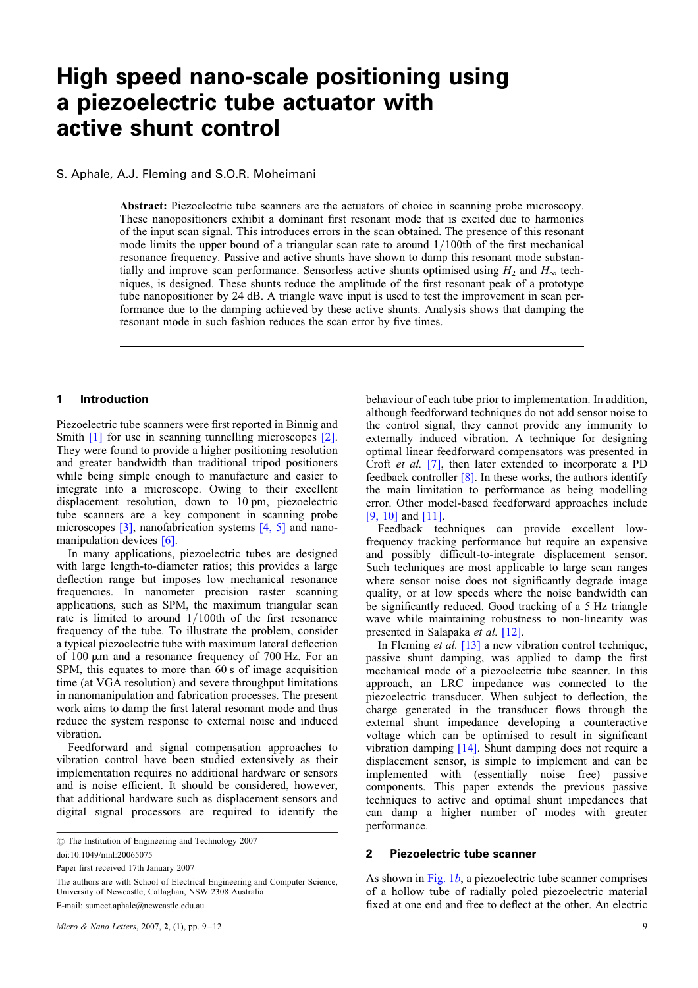# High speed nano-scale positioning using a piezoelectric tube actuator with active shunt control

S. Aphale, A.J. Fleming and S.O.R. Moheimani

Abstract: Piezoelectric tube scanners are the actuators of choice in scanning probe microscopy. These nanopositioners exhibit a dominant first resonant mode that is excited due to harmonics of the input scan signal. This introduces errors in the scan obtained. The presence of this resonant mode limits the upper bound of a triangular scan rate to around 1/100th of the first mechanical resonance frequency. Passive and active shunts have shown to damp this resonant mode substantially and improve scan performance. Sensorless active shunts optimised using  $H_2$  and  $H_\infty$  techniques, is designed. These shunts reduce the amplitude of the first resonant peak of a prototype tube nanopositioner by 24 dB. A triangle wave input is used to test the improvement in scan performance due to the damping achieved by these active shunts. Analysis shows that damping the resonant mode in such fashion reduces the scan error by five times.

# 1 Introduction

Piezoelectric tube scanners were first reported in Binnig and Smith [\[1\]](#page-3-0) for use in scanning tunnelling microscopes [\[2\].](#page-3-0) They were found to provide a higher positioning resolution and greater bandwidth than traditional tripod positioners while being simple enough to manufacture and easier to integrate into a microscope. Owing to their excellent displacement resolution, down to 10 pm, piezoelectric tube scanners are a key component in scanning probe microscopes [\[3\]](#page-3-0), nanofabrication systems [\[4, 5\]](#page-3-0) and nanomanipulation devices [\[6\]](#page-3-0).

In many applications, piezoelectric tubes are designed with large length-to-diameter ratios; this provides a large deflection range but imposes low mechanical resonance frequencies. In nanometer precision raster scanning applications, such as SPM, the maximum triangular scan rate is limited to around 1/100th of the first resonance frequency of the tube. To illustrate the problem, consider a typical piezoelectric tube with maximum lateral deflection of 100  $\mu$ m and a resonance frequency of 700 Hz. For an SPM, this equates to more than 60 s of image acquisition time (at VGA resolution) and severe throughput limitations in nanomanipulation and fabrication processes. The present work aims to damp the first lateral resonant mode and thus reduce the system response to external noise and induced vibration.

Feedforward and signal compensation approaches to vibration control have been studied extensively as their implementation requires no additional hardware or sensors and is noise efficient. It should be considered, however, that additional hardware such as displacement sensors and digital signal processors are required to identify the

The authors are with School of Electrical Engineering and Computer Science, University of Newcastle, Callaghan, NSW 2308 Australia E-mail: sumeet.aphale@newcastle.edu.au

behaviour of each tube prior to implementation. In addition, although feedforward techniques do not add sensor noise to the control signal, they cannot provide any immunity to externally induced vibration. A technique for designing optimal linear feedforward compensators was presented in Croft et al. [\[7\],](#page-3-0) then later extended to incorporate a PD feedback controller [\[8\]](#page-3-0). In these works, the authors identify the main limitation to performance as being modelling error. Other model-based feedforward approaches include [\[9, 10\]](#page-3-0) and [\[11\].](#page-3-0)

Feedback techniques can provide excellent lowfrequency tracking performance but require an expensive and possibly difficult-to-integrate displacement sensor. Such techniques are most applicable to large scan ranges where sensor noise does not significantly degrade image quality, or at low speeds where the noise bandwidth can be significantly reduced. Good tracking of a 5 Hz triangle wave while maintaining robustness to non-linearity was presented in Salapaka et al. [\[12\]](#page-3-0).

In Fleming *et al.* [\[13\]](#page-3-0) a new vibration control technique, passive shunt damping, was applied to damp the first mechanical mode of a piezoelectric tube scanner. In this approach, an LRC impedance was connected to the piezoelectric transducer. When subject to deflection, the charge generated in the transducer flows through the external shunt impedance developing a counteractive voltage which can be optimised to result in significant vibration damping [\[14\].](#page-3-0) Shunt damping does not require a displacement sensor, is simple to implement and can be implemented with (essentially noise free) passive components. This paper extends the previous passive techniques to active and optimal shunt impedances that can damp a higher number of modes with greater performance.

#### 2 Piezoelectric tube scanner

As shown in Fig.  $1b$ , a piezoelectric tube scanner comprises of a hollow tube of radially poled piezoelectric material fixed at one end and free to deflect at the other. An electric

 $\circ$  The Institution of Engineering and Technology 2007

doi:10.1049/mnl:20065075

Paper first received 17th January 2007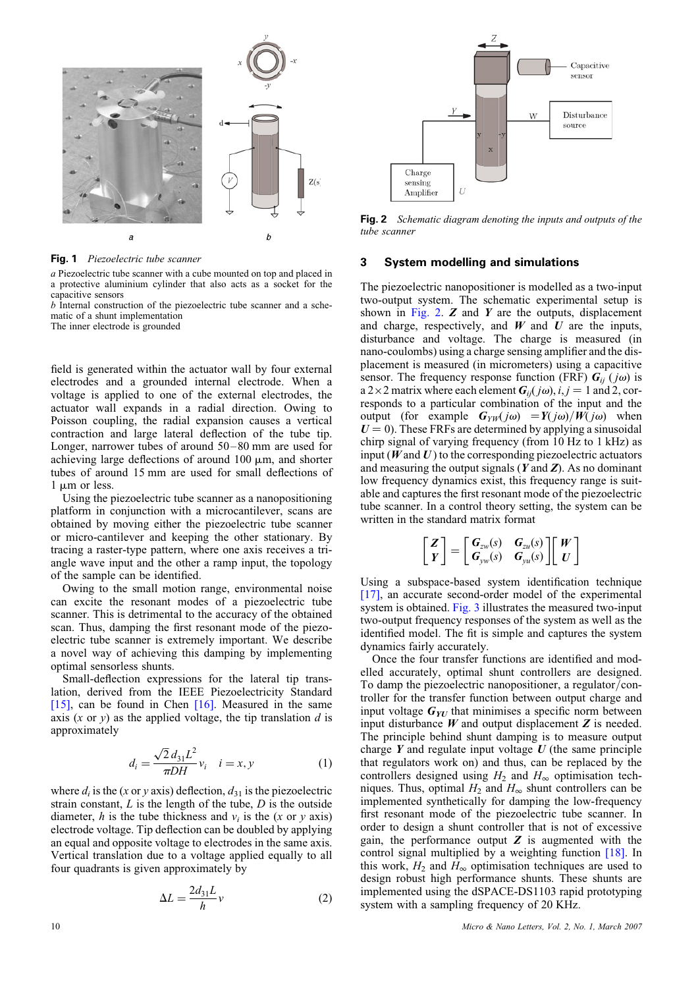<span id="page-1-0"></span>

Fig. 1 Piezoelectric tube scanner

a Piezoelectric tube scanner with a cube mounted on top and placed in a protective aluminium cylinder that also acts as a socket for the capacitive sensors

b Internal construction of the piezoelectric tube scanner and a schematic of a shunt implementation

The inner electrode is grounded

field is generated within the actuator wall by four external electrodes and a grounded internal electrode. When a voltage is applied to one of the external electrodes, the actuator wall expands in a radial direction. Owing to Poisson coupling, the radial expansion causes a vertical contraction and large lateral deflection of the tube tip. Longer, narrower tubes of around  $50 - 80$  mm are used for achieving large deflections of around  $100 \mu m$ , and shorter tubes of around 15 mm are used for small deflections of  $1 \mu m$  or less.

Using the piezoelectric tube scanner as a nanopositioning platform in conjunction with a microcantilever, scans are obtained by moving either the piezoelectric tube scanner or micro-cantilever and keeping the other stationary. By tracing a raster-type pattern, where one axis receives a triangle wave input and the other a ramp input, the topology of the sample can be identified.

Owing to the small motion range, environmental noise can excite the resonant modes of a piezoelectric tube scanner. This is detrimental to the accuracy of the obtained scan. Thus, damping the first resonant mode of the piezoelectric tube scanner is extremely important. We describe a novel way of achieving this damping by implementing optimal sensorless shunts.

Small-deflection expressions for the lateral tip translation, derived from the IEEE Piezoelectricity Standard [\[15\],](#page-3-0) can be found in Chen  $[16]$ . Measured in the same axis (x or y) as the applied voltage, the tip translation  $d$  is approximately

$$
d_i = \frac{\sqrt{2} d_{31} L^2}{\pi D H} v_i \quad i = x, y \tag{1}
$$

where  $d_i$  is the (x or y axis) deflection,  $d_{31}$  is the piezoelectric strain constant,  $L$  is the length of the tube,  $D$  is the outside diameter, h is the tube thickness and  $v_i$  is the (x or y axis) electrode voltage. Tip deflection can be doubled by applying an equal and opposite voltage to electrodes in the same axis. Vertical translation due to a voltage applied equally to all four quadrants is given approximately by

$$
\Delta L = \frac{2d_{31}L}{h}v\tag{2}
$$



Fig. 2 Schematic diagram denoting the inputs and outputs of the tube scanner

### 3 System modelling and simulations

The piezoelectric nanopositioner is modelled as a two-input two-output system. The schematic experimental setup is shown in Fig. 2.  $Z$  and  $Y$  are the outputs, displacement and charge, respectively, and  $W$  and  $U$  are the inputs, disturbance and voltage. The charge is measured (in nano-coulombs) using a charge sensing amplifier and the displacement is measured (in micrometers) using a capacitive sensor. The frequency response function (FRF)  $G_{ij}$  (*j* $\omega$ ) is a 2 × 2 matrix where each element  $G_{ii}(j\omega)$ ,  $i, j = 1$  and 2, corresponds to a particular combination of the input and the output (for example  $G_{YW}(j\omega) = Y(j\omega)/W(j\omega)$  when  $U = 0$ ). These FRFs are determined by applying a sinusoidal chirp signal of varying frequency (from 10 Hz to 1 kHz) as input ( $\vec{W}$  and  $\vec{U}$ ) to the corresponding piezoelectric actuators and measuring the output signals ( $Y$  and  $Z$ ). As no dominant low frequency dynamics exist, this frequency range is suitable and captures the first resonant mode of the piezoelectric tube scanner. In a control theory setting, the system can be written in the standard matrix format

$$
\begin{bmatrix} Z \\ Y \end{bmatrix} = \begin{bmatrix} G_{zw}(s) & G_{zu}(s) \\ G_{yw}(s) & G_{yu}(s) \end{bmatrix} \begin{bmatrix} W \\ U \end{bmatrix}
$$

Using a subspace-based system identification technique [\[17\],](#page-3-0) an accurate second-order model of the experimental system is obtained. [Fig. 3](#page-2-0) illustrates the measured two-input two-output frequency responses of the system as well as the identified model. The fit is simple and captures the system dynamics fairly accurately.

Once the four transfer functions are identified and modelled accurately, optimal shunt controllers are designed. To damp the piezoelectric nanopositioner, a regulator/controller for the transfer function between output charge and input voltage  $G_{YU}$  that minimises a specific norm between input disturbance  $W$  and output displacement  $Z$  is needed. The principle behind shunt damping is to measure output charge  $Y$  and regulate input voltage  $U$  (the same principle that regulators work on) and thus, can be replaced by the controllers designed using  $H_2$  and  $H_\infty$  optimisation techniques. Thus, optimal  $H_2$  and  $H_{\infty}$  shunt controllers can be implemented synthetically for damping the low-frequency first resonant mode of the piezoelectric tube scanner. In order to design a shunt controller that is not of excessive gain, the performance output  $Z$  is augmented with the control signal multiplied by a weighting function [\[18\].](#page-3-0) In this work,  $H_2$  and  $H_{\infty}$  optimisation techniques are used to design robust high performance shunts. These shunts are implemented using the dSPACE-DS1103 rapid prototyping system with a sampling frequency of 20 KHz.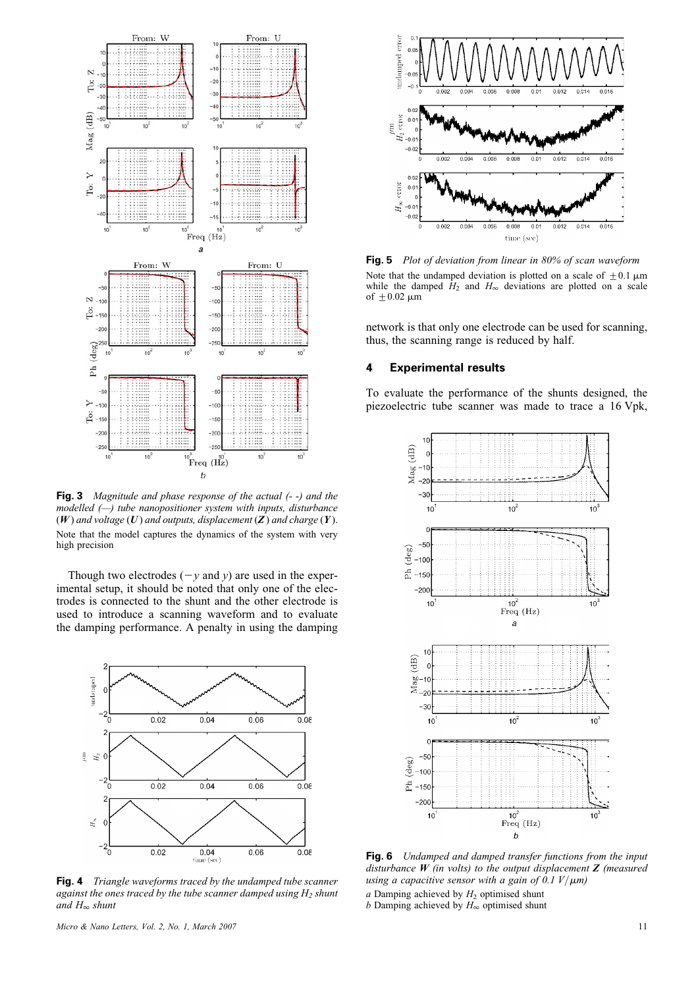<span id="page-2-0"></span>![](_page_2_Figure_0.jpeg)

Fig. 3 Magnitude and phase response of the actual  $(-)$  and the modelled  $\left(\frac{-}{\cdot}\right)$  tube nanopositioner system with inputs, disturbance  $(W)$  and voltage  $(U)$  and outputs, displacement  $(Z)$  and charge  $(Y)$ . Note that the model captures the dynamics of the system with very high precision

Though two electrodes  $(-y$  and y) are used in the experimental setup, it should be noted that only one of the electrodes is connected to the shunt and the other electrode is used to introduce a scanning waveform and to evaluate the damping performance. A penalty in using the damping

![](_page_2_Figure_3.jpeg)

Fig. 4 Triangle waveforms traced by the undamped tube scanner against the ones traced by the tube scanner damped using  $H_2$  shunt and  $H_{\infty}$  shunt

 $Micro & Nano Letters, Vol. 2, No. 1, March 2007$  11

![](_page_2_Figure_6.jpeg)

Fig. 5 Plot of deviation from linear in 80% of scan waveform Note that the undamped deviation is plotted on a scale of  $\pm$  0.1  $\mu$ m while the damped  $H_2$  and  $H_{\infty}$  deviations are plotted on a scale of  $\pm 0.02$   $\mu$ m

network is that only one electrode can be used for scanning, thus, the scanning range is reduced by half.

# 4 Experimental results

To evaluate the performance of the shunts designed, the piezoelectric tube scanner was made to trace a 16 Vpk,

![](_page_2_Figure_11.jpeg)

Fig. 6 Undamped and damped transfer functions from the input disturbance  $W$  (in volts) to the output displacement  $Z$  (measured using a capacitive sensor with a gain of 0.1  $V/\mu$ m)

a Damping achieved by  $H_2$  optimised shunt

b Damping achieved by  $H_{\infty}$  optimised shunt